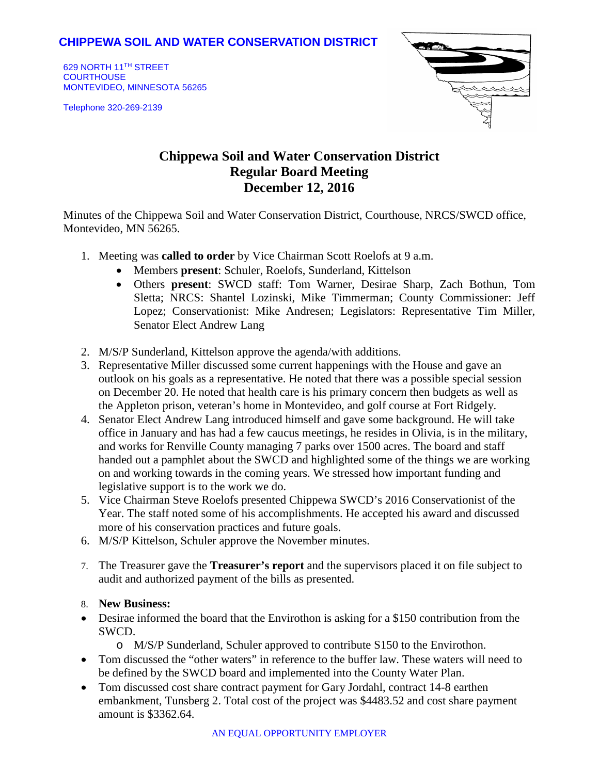## **CHIPPEWA SOIL AND WATER CONSERVATION DISTRICT**

629 NORTH 11TH STREET **COURTHOUSE** MONTEVIDEO, MINNESOTA 56265

Telephone 320-269-2139



# **Chippewa Soil and Water Conservation District Regular Board Meeting December 12, 2016**

Minutes of the Chippewa Soil and Water Conservation District, Courthouse, NRCS/SWCD office, Montevideo, MN 56265.

- 1. Meeting was **called to order** by Vice Chairman Scott Roelofs at 9 a.m.
	- Members **present**: Schuler, Roelofs, Sunderland, Kittelson
	- Others **present**: SWCD staff: Tom Warner, Desirae Sharp, Zach Bothun, Tom Sletta; NRCS: Shantel Lozinski, Mike Timmerman; County Commissioner: Jeff Lopez; Conservationist: Mike Andresen; Legislators: Representative Tim Miller, Senator Elect Andrew Lang
- 2. M/S/P Sunderland, Kittelson approve the agenda/with additions.
- 3. Representative Miller discussed some current happenings with the House and gave an outlook on his goals as a representative. He noted that there was a possible special session on December 20. He noted that health care is his primary concern then budgets as well as the Appleton prison, veteran's home in Montevideo, and golf course at Fort Ridgely.
- 4. Senator Elect Andrew Lang introduced himself and gave some background. He will take office in January and has had a few caucus meetings, he resides in Olivia, is in the military, and works for Renville County managing 7 parks over 1500 acres. The board and staff handed out a pamphlet about the SWCD and highlighted some of the things we are working on and working towards in the coming years. We stressed how important funding and legislative support is to the work we do.
- 5. Vice Chairman Steve Roelofs presented Chippewa SWCD's 2016 Conservationist of the Year. The staff noted some of his accomplishments. He accepted his award and discussed more of his conservation practices and future goals.
- 6. M/S/P Kittelson, Schuler approve the November minutes.
- 7. The Treasurer gave the **Treasurer's report** and the supervisors placed it on file subject to audit and authorized payment of the bills as presented.

#### 8. **New Business:**

- Desirae informed the board that the Envirothon is asking for a \$150 contribution from the SWCD.
	- o M/S/P Sunderland, Schuler approved to contribute S150 to the Envirothon.
- Tom discussed the "other waters" in reference to the buffer law. These waters will need to be defined by the SWCD board and implemented into the County Water Plan.
- Tom discussed cost share contract payment for Gary Jordahl, contract 14-8 earthen embankment, Tunsberg 2. Total cost of the project was \$4483.52 and cost share payment amount is \$3362.64.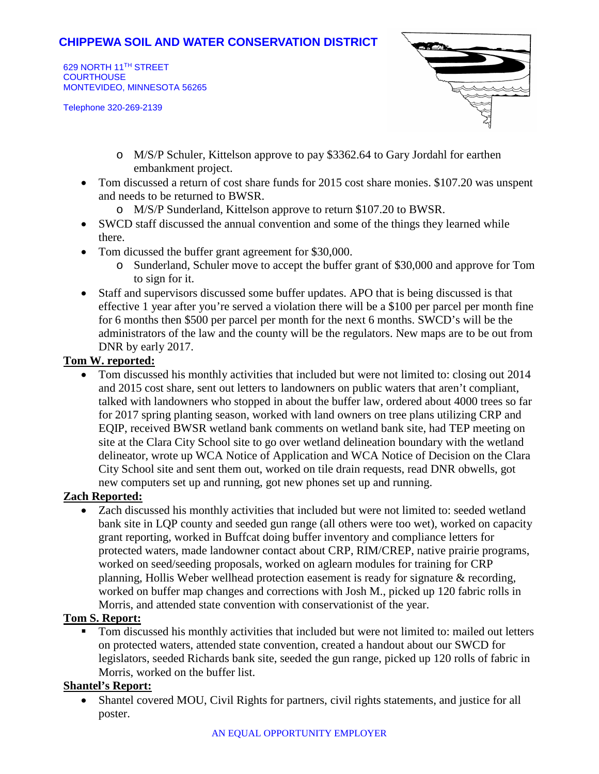## **CHIPPEWA SOIL AND WATER CONSERVATION DISTRICT**

629 NORTH 11TH STREET **COURTHOUSE** MONTEVIDEO, MINNESOTA 56265

Telephone 320-269-2139



- o M/S/P Schuler, Kittelson approve to pay \$3362.64 to Gary Jordahl for earthen embankment project.
- Tom discussed a return of cost share funds for 2015 cost share monies. \$107.20 was unspent and needs to be returned to BWSR.
	- o M/S/P Sunderland, Kittelson approve to return \$107.20 to BWSR.
- SWCD staff discussed the annual convention and some of the things they learned while there.
- Tom dicussed the buffer grant agreement for \$30,000.
	- o Sunderland, Schuler move to accept the buffer grant of \$30,000 and approve for Tom to sign for it.
- Staff and supervisors discussed some buffer updates. APO that is being discussed is that effective 1 year after you're served a violation there will be a \$100 per parcel per month fine for 6 months then \$500 per parcel per month for the next 6 months. SWCD's will be the administrators of the law and the county will be the regulators. New maps are to be out from DNR by early 2017.

#### **Tom W. reported:**

• Tom discussed his monthly activities that included but were not limited to: closing out 2014 and 2015 cost share, sent out letters to landowners on public waters that aren't compliant, talked with landowners who stopped in about the buffer law, ordered about 4000 trees so far for 2017 spring planting season, worked with land owners on tree plans utilizing CRP and EQIP, received BWSR wetland bank comments on wetland bank site, had TEP meeting on site at the Clara City School site to go over wetland delineation boundary with the wetland delineator, wrote up WCA Notice of Application and WCA Notice of Decision on the Clara City School site and sent them out, worked on tile drain requests, read DNR obwells, got new computers set up and running, got new phones set up and running.

### **Zach Reported:**

• Zach discussed his monthly activities that included but were not limited to: seeded wetland bank site in LQP county and seeded gun range (all others were too wet), worked on capacity grant reporting, worked in Buffcat doing buffer inventory and compliance letters for protected waters, made landowner contact about CRP, RIM/CREP, native prairie programs, worked on seed/seeding proposals, worked on aglearn modules for training for CRP planning, Hollis Weber wellhead protection easement is ready for signature & recording, worked on buffer map changes and corrections with Josh M., picked up 120 fabric rolls in Morris, and attended state convention with conservationist of the year.

### **Tom S. Report:**

 Tom discussed his monthly activities that included but were not limited to: mailed out letters on protected waters, attended state convention, created a handout about our SWCD for legislators, seeded Richards bank site, seeded the gun range, picked up 120 rolls of fabric in Morris, worked on the buffer list.

#### **Shantel's Report:**

• Shantel covered MOU, Civil Rights for partners, civil rights statements, and justice for all poster.